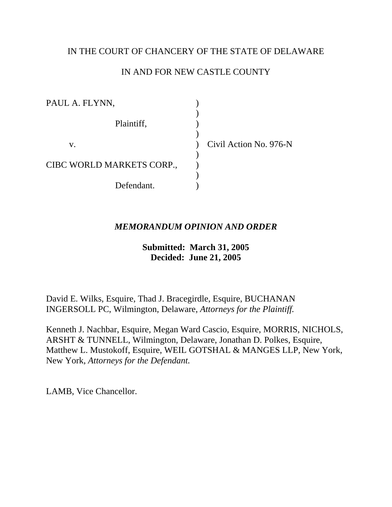## IN THE COURT OF CHANCERY OF THE STATE OF DELAWARE

# IN AND FOR NEW CASTLE COUNTY

| PAUL A. FLYNN,            |                        |
|---------------------------|------------------------|
| Plaintiff,                |                        |
| v.                        | Civil Action No. 976-N |
|                           |                        |
| CIBC WORLD MARKETS CORP., |                        |
|                           |                        |
| Defendant.                |                        |

# *MEMORANDUM OPINION AND ORDER*

# **Submitted: March 31, 2005 Decided: June 21, 2005**

David E. Wilks, Esquire, Thad J. Bracegirdle, Esquire, BUCHANAN INGERSOLL PC, Wilmington, Delaware, *Attorneys for the Plaintiff.*

Kenneth J. Nachbar, Esquire, Megan Ward Cascio, Esquire, MORRIS, NICHOLS, ARSHT & TUNNELL, Wilmington, Delaware, Jonathan D. Polkes, Esquire, Matthew L. Mustokoff, Esquire, WEIL GOTSHAL & MANGES LLP, New York, New York, *Attorneys for the Defendant.*

LAMB, Vice Chancellor.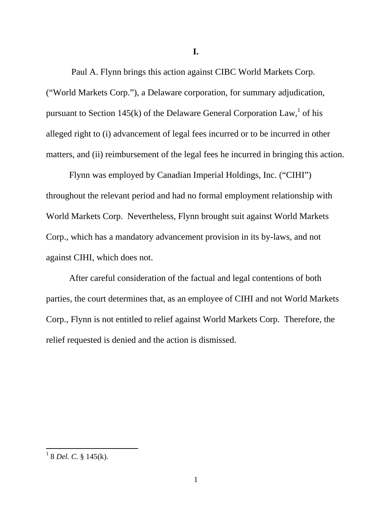**I.** 

 Paul A. Flynn brings this action against CIBC World Markets Corp. ("World Markets Corp."), a Delaware corporation, for summary adjudication, pursuant to Section 145(k) of the Delaware General Corporation Law,  $\frac{1}{1}$  of his alleged right to (i) advancement of legal fees incurred or to be incurred in other matters, and (ii) reimbursement of the legal fees he incurred in bringing this action.

Flynn was employed by Canadian Imperial Holdings, Inc. ("CIHI") throughout the relevant period and had no formal employment relationship with World Markets Corp. Nevertheless, Flynn brought suit against World Markets Corp., which has a mandatory advancement provision in its by-laws, and not against CIHI, which does not.

After careful consideration of the factual and legal contentions of both parties, the court determines that, as an employee of CIHI and not World Markets Corp., Flynn is not entitled to relief against World Markets Corp. Therefore, the relief requested is denied and the action is dismissed.

 1 8 *Del. C.* § 145(k).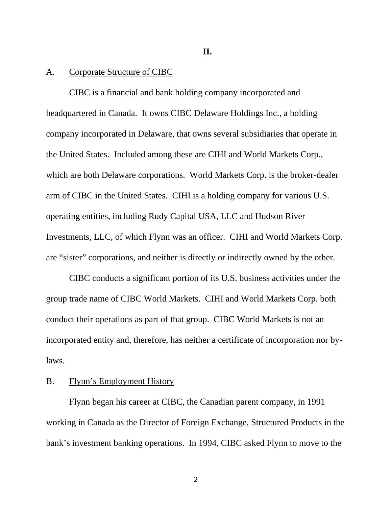## A. Corporate Structure of CIBC

 CIBC is a financial and bank holding company incorporated and headquartered in Canada. It owns CIBC Delaware Holdings Inc., a holding company incorporated in Delaware, that owns several subsidiaries that operate in the United States. Included among these are CIHI and World Markets Corp., which are both Delaware corporations. World Markets Corp. is the broker-dealer arm of CIBC in the United States. CIHI is a holding company for various U.S. operating entities, including Rudy Capital USA, LLC and Hudson River Investments, LLC, of which Flynn was an officer. CIHI and World Markets Corp. are "sister" corporations, and neither is directly or indirectly owned by the other.

**II.** 

 CIBC conducts a significant portion of its U.S. business activities under the group trade name of CIBC World Markets. CIHI and World Markets Corp. both conduct their operations as part of that group. CIBC World Markets is not an incorporated entity and, therefore, has neither a certificate of incorporation nor bylaws.

#### B. Flynn's Employment History

 Flynn began his career at CIBC, the Canadian parent company, in 1991 working in Canada as the Director of Foreign Exchange, Structured Products in the bank's investment banking operations. In 1994, CIBC asked Flynn to move to the

2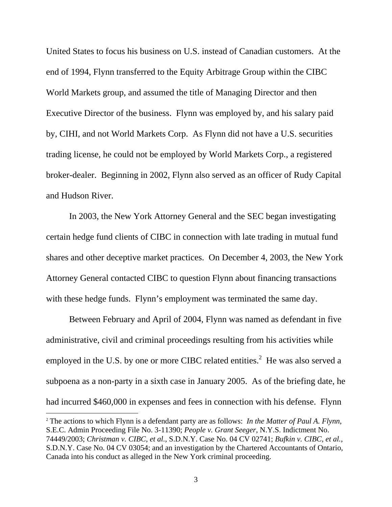United States to focus his business on U.S. instead of Canadian customers. At the end of 1994, Flynn transferred to the Equity Arbitrage Group within the CIBC World Markets group, and assumed the title of Managing Director and then Executive Director of the business. Flynn was employed by, and his salary paid by, CIHI, and not World Markets Corp. As Flynn did not have a U.S. securities trading license, he could not be employed by World Markets Corp., a registered broker-dealer. Beginning in 2002, Flynn also served as an officer of Rudy Capital and Hudson River.

 In 2003, the New York Attorney General and the SEC began investigating certain hedge fund clients of CIBC in connection with late trading in mutual fund shares and other deceptive market practices. On December 4, 2003, the New York Attorney General contacted CIBC to question Flynn about financing transactions with these hedge funds. Flynn's employment was terminated the same day.

Between February and April of 2004, Flynn was named as defendant in five administrative, civil and criminal proceedings resulting from his activities while employed in the U.S. by one or more CIBC related entities.<sup>2</sup> He was also served a subpoena as a non-party in a sixth case in January 2005. As of the briefing date, he had incurred \$460,000 in expenses and fees in connection with his defense. Flynn

<sup>2</sup> The actions to which Flynn is a defendant party are as follows: *In the Matter of Paul A. Flynn*, S.E.C. Admin Proceeding File No. 3-11390; *People v. Grant Seeger*, N.Y.S. Indictment No. 74449/2003; *Christman v. CIBC, et al.,* S.D.N.Y. Case No. 04 CV 02741; *Bufkin v. CIBC, et al.,*  S.D.N.Y. Case No. 04 CV 03054; and an investigation by the Chartered Accountants of Ontario, Canada into his conduct as alleged in the New York criminal proceeding.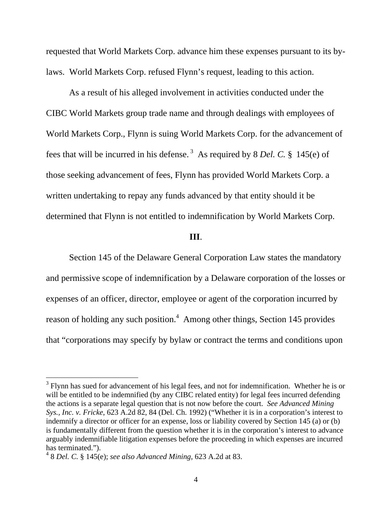requested that World Markets Corp. advance him these expenses pursuant to its bylaws. World Markets Corp. refused Flynn's request, leading to this action.

 As a result of his alleged involvement in activities conducted under the CIBC World Markets group trade name and through dealings with employees of World Markets Corp., Flynn is suing World Markets Corp. for the advancement of fees that will be incurred in his defense. 3 As required by 8 *Del. C.* § 145(e) of those seeking advancement of fees, Flynn has provided World Markets Corp. a written undertaking to repay any funds advanced by that entity should it be determined that Flynn is not entitled to indemnification by World Markets Corp.

#### **III**.

 Section 145 of the Delaware General Corporation Law states the mandatory and permissive scope of indemnification by a Delaware corporation of the losses or expenses of an officer, director, employee or agent of the corporation incurred by reason of holding any such position.<sup>4</sup> Among other things, Section 145 provides that "corporations may specify by bylaw or contract the terms and conditions upon

<sup>&</sup>lt;sup>3</sup> Flynn has sued for advancement of his legal fees, and not for indemnification. Whether he is or will be entitled to be indemnified (by any CIBC related entity) for legal fees incurred defending the actions is a separate legal question that is not now before the court. *See Advanced Mining Sys., Inc. v. Fricke*, 623 A.2d 82, 84 (Del. Ch. 1992) ("Whether it is in a corporation's interest to indemnify a director or officer for an expense, loss or liability covered by Section 145 (a) or (b) is fundamentally different from the question whether it is in the corporation's interest to advance arguably indemnifiable litigation expenses before the proceeding in which expenses are incurred has terminated.").

<sup>4</sup> 8 *Del. C.* § 145(e); *see also Advanced Mining*, 623 A.2d at 83.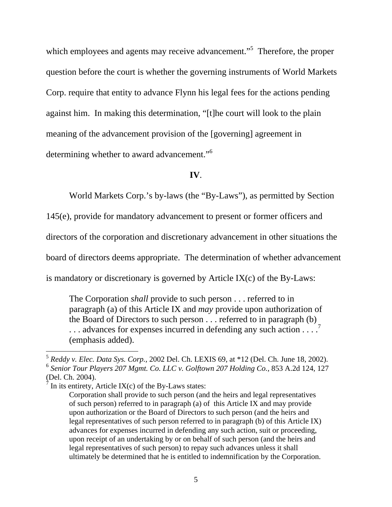which employees and agents may receive advancement."<sup>5</sup> Therefore, the proper question before the court is whether the governing instruments of World Markets Corp. require that entity to advance Flynn his legal fees for the actions pending against him. In making this determination, "[t]he court will look to the plain meaning of the advancement provision of the [governing] agreement in determining whether to award advancement."<sup>6</sup>

#### **IV**.

World Markets Corp.'s by-laws (the "By-Laws"), as permitted by Section

145(e), provide for mandatory advancement to present or former officers and

directors of the corporation and discretionary advancement in other situations the

board of directors deems appropriate. The determination of whether advancement

is mandatory or discretionary is governed by Article IX(c) of the By-Laws:

The Corporation *shall* provide to such person . . . referred to in paragraph (a) of this Article IX and *may* provide upon authorization of the Board of Directors to such person . . . referred to in paragraph (b) ... advances for expenses incurred in defending any such action ....<sup>7</sup> (emphasis added).

<sup>5</sup> *Reddy v. Elec. Data Sys. Corp.,* 2002 Del. Ch. LEXIS 69, at \*12 (Del. Ch. June 18, 2002). <sup>6</sup> *Senior Tour Players 207 Mgmt. Co. LLC v. Golftown 207 Holding Co.,* 853 A.2d 124, 127 (Del. Ch. 2004).

 $\overline{7}$  In its entirety, Article IX(c) of the By-Laws states:

Corporation shall provide to such person (and the heirs and legal representatives of such person) referred to in paragraph (a) of this Article IX and may provide upon authorization or the Board of Directors to such person (and the heirs and legal representatives of such person referred to in paragraph (b) of this Article IX) advances for expenses incurred in defending any such action, suit or proceeding, upon receipt of an undertaking by or on behalf of such person (and the heirs and legal representatives of such person) to repay such advances unless it shall ultimately be determined that he is entitled to indemnification by the Corporation.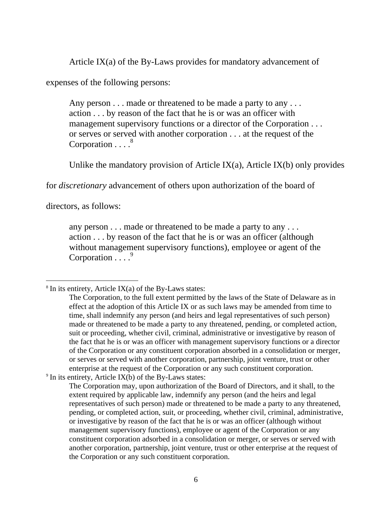Article IX(a) of the By-Laws provides for mandatory advancement of

expenses of the following persons:

Any person . . . made or threatened to be made a party to any . . . action . . . by reason of the fact that he is or was an officer with management supervisory functions or a director of the Corporation . . . or serves or served with another corporation . . . at the request of the Corporation  $\ldots$  .<sup>8</sup>

Unlike the mandatory provision of Article IX(a), Article IX(b) only provides

for *discretionary* advancement of others upon authorization of the board of

directors, as follows:

any person . . . made or threatened to be made a party to any . . . action . . . by reason of the fact that he is or was an officer (although without management supervisory functions), employee or agent of the Corporation  $\ldots$ <sup>9</sup>

 $\overline{a}$  $8 \text{ In its entirety, Article IX(a) of the By-Laws states:}$ 

The Corporation, to the full extent permitted by the laws of the State of Delaware as in effect at the adoption of this Article IX or as such laws may be amended from time to time, shall indemnify any person (and heirs and legal representatives of such person) made or threatened to be made a party to any threatened, pending, or completed action, suit or proceeding, whether civil, criminal, administrative or investigative by reason of the fact that he is or was an officer with management supervisory functions or a director of the Corporation or any constituent corporation absorbed in a consolidation or merger, or serves or served with another corporation, partnership, joint venture, trust or other enterprise at the request of the Corporation or any such constituent corporation.<br><sup>9</sup> In its entirety, Article IX(b) of the By-Laws states:

The Corporation may, upon authorization of the Board of Directors, and it shall, to the extent required by applicable law, indemnify any person (and the heirs and legal representatives of such person) made or threatened to be made a party to any threatened, pending, or completed action, suit, or proceeding, whether civil, criminal, administrative, or investigative by reason of the fact that he is or was an officer (although without management supervisory functions), employee or agent of the Corporation or any constituent corporation adsorbed in a consolidation or merger, or serves or served with another corporation, partnership, joint venture, trust or other enterprise at the request of the Corporation or any such constituent corporation.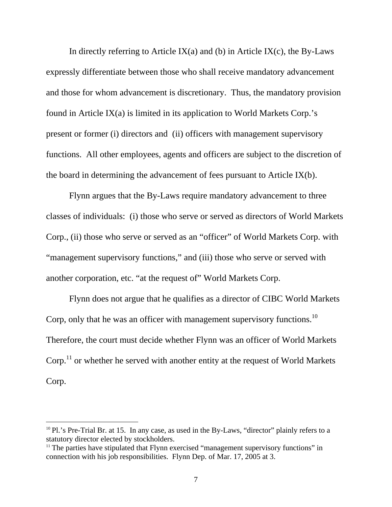In directly referring to Article IX(a) and (b) in Article IX(c), the By-Laws expressly differentiate between those who shall receive mandatory advancement and those for whom advancement is discretionary. Thus, the mandatory provision found in Article IX(a) is limited in its application to World Markets Corp.'s present or former (i) directors and (ii) officers with management supervisory functions. All other employees, agents and officers are subject to the discretion of the board in determining the advancement of fees pursuant to Article IX(b).

Flynn argues that the By-Laws require mandatory advancement to three classes of individuals: (i) those who serve or served as directors of World Markets Corp., (ii) those who serve or served as an "officer" of World Markets Corp. with "management supervisory functions," and (iii) those who serve or served with another corporation, etc. "at the request of" World Markets Corp.

Flynn does not argue that he qualifies as a director of CIBC World Markets Corp, only that he was an officer with management supervisory functions.<sup>10</sup> Therefore, the court must decide whether Flynn was an officer of World Markets Corp.<sup>11</sup> or whether he served with another entity at the request of World Markets Corp.

<sup>&</sup>lt;sup>10</sup> Pl.'s Pre-Trial Br. at 15. In any case, as used in the By-Laws, "director" plainly refers to a statutory director elected by stockholders.<br><sup>11</sup> The parties have stipulated that Flynn exercised "management supervisory functions" in

connection with his job responsibilities. Flynn Dep. of Mar. 17, 2005 at 3.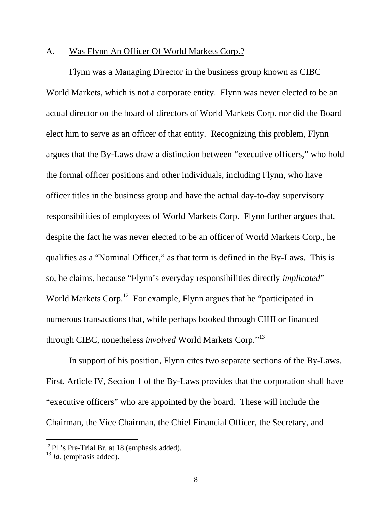## A. Was Flynn An Officer Of World Markets Corp.?

Flynn was a Managing Director in the business group known as CIBC World Markets, which is not a corporate entity. Flynn was never elected to be an actual director on the board of directors of World Markets Corp. nor did the Board elect him to serve as an officer of that entity. Recognizing this problem, Flynn argues that the By-Laws draw a distinction between "executive officers," who hold the formal officer positions and other individuals, including Flynn, who have officer titles in the business group and have the actual day-to-day supervisory responsibilities of employees of World Markets Corp. Flynn further argues that, despite the fact he was never elected to be an officer of World Markets Corp., he qualifies as a "Nominal Officer," as that term is defined in the By-Laws. This is so, he claims, because "Flynn's everyday responsibilities directly *implicated*" World Markets Corp.<sup>12</sup> For example, Flynn argues that he "participated in numerous transactions that, while perhaps booked through CIHI or financed through CIBC, nonetheless *involved* World Markets Corp."<sup>13</sup>

In support of his position, Flynn cites two separate sections of the By-Laws. First, Article IV, Section 1 of the By-Laws provides that the corporation shall have "executive officers" who are appointed by the board. These will include the Chairman, the Vice Chairman, the Chief Financial Officer, the Secretary, and

<sup>&</sup>lt;sup>12</sup> Pl.'s Pre-Trial Br. at 18 (emphasis added).

<sup>13</sup> *Id.* (emphasis added).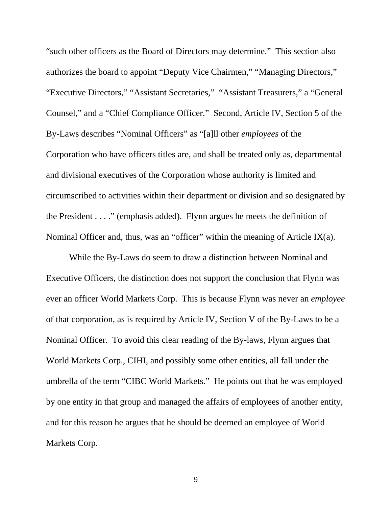"such other officers as the Board of Directors may determine." This section also authorizes the board to appoint "Deputy Vice Chairmen," "Managing Directors," "Executive Directors," "Assistant Secretaries," "Assistant Treasurers," a "General Counsel," and a "Chief Compliance Officer." Second, Article IV, Section 5 of the By-Laws describes "Nominal Officers" as "[a]ll other *employees* of the Corporation who have officers titles are, and shall be treated only as, departmental and divisional executives of the Corporation whose authority is limited and circumscribed to activities within their department or division and so designated by the President . . . ." (emphasis added). Flynn argues he meets the definition of Nominal Officer and, thus, was an "officer" within the meaning of Article IX(a).

While the By-Laws do seem to draw a distinction between Nominal and Executive Officers, the distinction does not support the conclusion that Flynn was ever an officer World Markets Corp. This is because Flynn was never an *employee* of that corporation, as is required by Article IV, Section V of the By-Laws to be a Nominal Officer. To avoid this clear reading of the By-laws, Flynn argues that World Markets Corp., CIHI, and possibly some other entities, all fall under the umbrella of the term "CIBC World Markets." He points out that he was employed by one entity in that group and managed the affairs of employees of another entity, and for this reason he argues that he should be deemed an employee of World Markets Corp.

9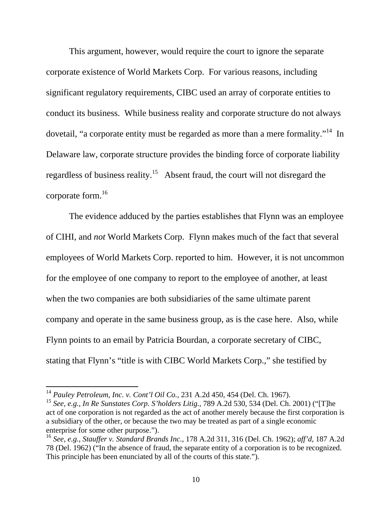This argument, however, would require the court to ignore the separate corporate existence of World Markets Corp. For various reasons, including significant regulatory requirements, CIBC used an array of corporate entities to conduct its business. While business reality and corporate structure do not always dovetail, "a corporate entity must be regarded as more than a mere formality."<sup>14</sup> In Delaware law, corporate structure provides the binding force of corporate liability regardless of business reality.<sup>15</sup> Absent fraud, the court will not disregard the corporate form.<sup>16</sup>

The evidence adduced by the parties establishes that Flynn was an employee of CIHI, and *not* World Markets Corp. Flynn makes much of the fact that several employees of World Markets Corp. reported to him. However, it is not uncommon for the employee of one company to report to the employee of another, at least when the two companies are both subsidiaries of the same ultimate parent company and operate in the same business group, as is the case here. Also, while Flynn points to an email by Patricia Bourdan, a corporate secretary of CIBC, stating that Flynn's "title is with CIBC World Markets Corp.," she testified by

<sup>14</sup> *Pauley Petroleum, Inc. v. Cont'l Oil Co.,* 231 A.2d 450, 454 (Del. Ch. 1967).

<sup>15</sup> *See, e.g.*, *In Re Sunstates Corp. S'holders Litig.,* 789 A.2d 530, 534 (Del. Ch. 2001) ("[T]he act of one corporation is not regarded as the act of another merely because the first corporation is a subsidiary of the other, or because the two may be treated as part of a single economic enterprise for some other purpose.").

<sup>16</sup> *See, e.g.*, *Stauffer v. Standard Brands Inc.*, 178 A.2d 311, 316 (Del. Ch. 1962); *aff'd,* 187 A.2d 78 (Del. 1962) ("In the absence of fraud, the separate entity of a corporation is to be recognized. This principle has been enunciated by all of the courts of this state.").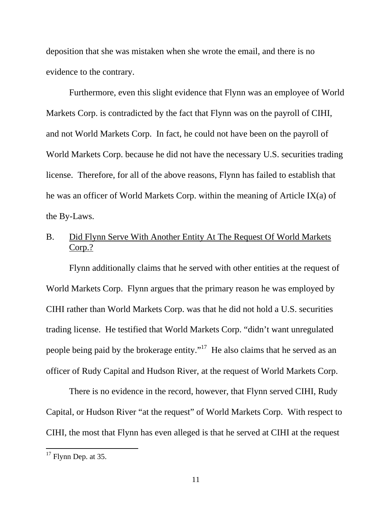deposition that she was mistaken when she wrote the email, and there is no evidence to the contrary.

Furthermore, even this slight evidence that Flynn was an employee of World Markets Corp. is contradicted by the fact that Flynn was on the payroll of CIHI, and not World Markets Corp. In fact, he could not have been on the payroll of World Markets Corp. because he did not have the necessary U.S. securities trading license. Therefore, for all of the above reasons, Flynn has failed to establish that he was an officer of World Markets Corp. within the meaning of Article IX(a) of the By-Laws.

# B. Did Flynn Serve With Another Entity At The Request Of World Markets Corp.?

Flynn additionally claims that he served with other entities at the request of World Markets Corp. Flynn argues that the primary reason he was employed by CIHI rather than World Markets Corp. was that he did not hold a U.S. securities trading license. He testified that World Markets Corp. "didn't want unregulated people being paid by the brokerage entity."<sup>17</sup> He also claims that he served as an officer of Rudy Capital and Hudson River, at the request of World Markets Corp.

There is no evidence in the record, however, that Flynn served CIHI, Rudy Capital, or Hudson River "at the request" of World Markets Corp. With respect to CIHI, the most that Flynn has even alleged is that he served at CIHI at the request

 $17$  Flynn Dep. at 35.